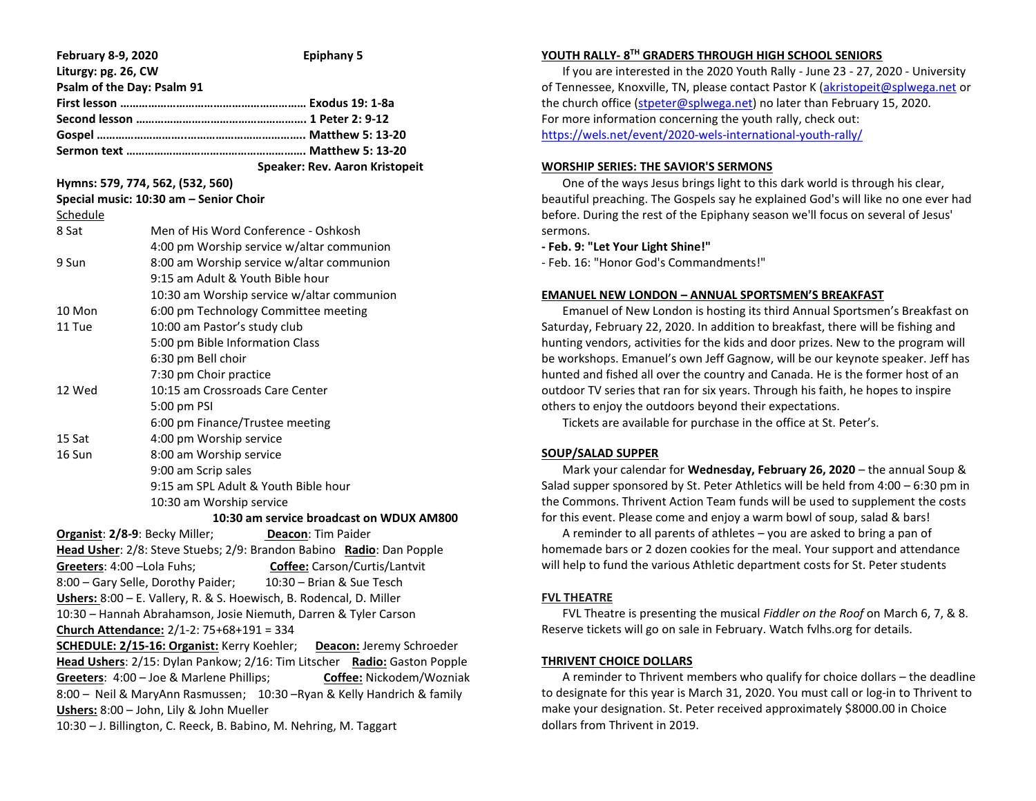| <b>February 8-9, 2020</b>   |                                              | <b>Epiphany 5</b>                                                        |  |
|-----------------------------|----------------------------------------------|--------------------------------------------------------------------------|--|
| Liturgy: pg. 26, CW         |                                              |                                                                          |  |
|                             | Psalm of the Day: Psalm 91                   |                                                                          |  |
|                             |                                              |                                                                          |  |
|                             |                                              |                                                                          |  |
|                             |                                              |                                                                          |  |
|                             |                                              |                                                                          |  |
|                             |                                              | Speaker: Rev. Aaron Kristopeit                                           |  |
|                             | Hymns: 579, 774, 562, (532, 560)             |                                                                          |  |
|                             | Special music: 10:30 am - Senior Choir       |                                                                          |  |
| <u>Schedule</u>             |                                              |                                                                          |  |
| 8 Sat                       |                                              | Men of His Word Conference - Oshkosh                                     |  |
|                             |                                              | 4:00 pm Worship service w/altar communion                                |  |
| 9 Sun                       |                                              | 8:00 am Worship service w/altar communion                                |  |
|                             |                                              | 9:15 am Adult & Youth Bible hour                                         |  |
|                             |                                              | 10:30 am Worship service w/altar communion                               |  |
| 10 Mon                      |                                              | 6:00 pm Technology Committee meeting                                     |  |
| 11 Tue                      |                                              | 10:00 am Pastor's study club                                             |  |
|                             |                                              | 5:00 pm Bible Information Class                                          |  |
|                             | 6:30 pm Bell choir                           |                                                                          |  |
|                             |                                              | 7:30 pm Choir practice                                                   |  |
| 12 Wed                      | 10:15 am Crossroads Care Center              |                                                                          |  |
|                             | 5:00 pm PSI                                  |                                                                          |  |
|                             | 6:00 pm Finance/Trustee meeting              |                                                                          |  |
| 15 Sat                      |                                              | 4:00 pm Worship service                                                  |  |
| 16 Sun                      |                                              | 8:00 am Worship service                                                  |  |
|                             | 9:00 am Scrip sales                          |                                                                          |  |
|                             | 9:15 am SPL Adult & Youth Bible hour         |                                                                          |  |
|                             | 10:30 am Worship service                     |                                                                          |  |
|                             |                                              | 10:30 am service broadcast on WDUX AM800                                 |  |
|                             | Organist: 2/8-9: Becky Miller;               | Deacon: Tim Paider                                                       |  |
|                             |                                              | Head Usher: 2/8: Steve Stuebs; 2/9: Brandon Babino Radio: Dan Popple     |  |
| Greeters: 4:00 - Lola Fuhs; |                                              | <b>Coffee:</b> Carson/Curtis/Lantvit                                     |  |
|                             | 8:00 - Gary Selle, Dorothy Paider;           | 10:30 - Brian & Sue Tesch                                                |  |
|                             |                                              | Ushers: 8:00 - E. Vallery, R. & S. Hoewisch, B. Rodencal, D. Miller      |  |
|                             |                                              | 10:30 - Hannah Abrahamson, Josie Niemuth, Darren & Tyler Carson          |  |
|                             | Church Attendance: $2/1-2$ : 75+68+191 = 334 |                                                                          |  |
|                             |                                              | SCHEDULE: 2/15-16: Organist: Kerry Koehler; Deacon: Jeremy Schroeder     |  |
|                             |                                              | Head Ushers: 2/15: Dylan Pankow; 2/16: Tim Litscher Radio: Gaston Popple |  |
|                             | Greeters: 4:00 - Joe & Marlene Phillips;     | Coffee: Nickodem/Wozniak                                                 |  |
|                             |                                              | 8:00 - Neil & MaryAnn Rasmussen; 10:30 - Ryan & Kelly Handrich & family  |  |
|                             | Ushers: 8:00 - John, Lily & John Mueller     |                                                                          |  |
|                             |                                              | 10:30 - J. Billington, C. Reeck, B. Babino, M. Nehring, M. Taggart       |  |

# **YOUTH RALLY- 8 TH GRADERS THROUGH HIGH SCHOOL SENIORS**

 If you are interested in the 2020 Youth Rally - June 23 - 27, 2020 - University of Tennessee, Knoxville, TN, please contact Pastor K [\(akristopeit@splwega.net](mailto:akristopeit@splwega.net) or the church office [\(stpeter@splwega.net\)](mailto:stpeter@splwega.net) no later than February 15, 2020. For more information concerning the youth rally, check out: [https://wels.net/event/2020-wels-international-youth-rally/](https://linkprotect.cudasvc.com/url?a=https%3a%2f%2fwels.net%2fevent%2f2020-wels-international-youth-rally%2f&c=E,1,lNRUNoWdLc8CEU1jUlRIG_FoezLoXzVGad5eWmo1lybuzP_6cs-H3i5BmvNlmdZBfHcL-4wdrIs24BU9wM1hI-2YqAKHaNpkvLIa0u3j&typo=1)

## **WORSHIP SERIES: THE SAVIOR'S SERMONS**

 One of the ways Jesus brings light to this dark world is through his clear, beautiful preaching. The Gospels say he explained God's will like no one ever had before. During the rest of the Epiphany season we'll focus on several of Jesus' sermons.

### **- Feb. 9: "Let Your Light Shine!"**

- Feb. 16: "Honor God's Commandments!"

### **EMANUEL NEW LONDON – ANNUAL SPORTSMEN'S BREAKFAST**

 Emanuel of New London is hosting its third Annual Sportsmen's Breakfast on Saturday, February 22, 2020. In addition to breakfast, there will be fishing and hunting vendors, activities for the kids and door prizes. New to the program will be workshops. Emanuel's own Jeff Gagnow, will be our keynote speaker. Jeff has hunted and fished all over the country and Canada. He is the former host of an outdoor TV series that ran for six years. Through his faith, he hopes to inspire others to enjoy the outdoors beyond their expectations.

Tickets are available for purchase in the office at St. Peter's.

### **SOUP/SALAD SUPPER**

 Mark your calendar for **Wednesday, February 26, 2020** – the annual Soup & Salad supper sponsored by St. Peter Athletics will be held from 4:00 – 6:30 pm in the Commons. Thrivent Action Team funds will be used to supplement the costs for this event. Please come and enjoy a warm bowl of soup, salad & bars!

 A reminder to all parents of athletes – you are asked to bring a pan of homemade bars or 2 dozen cookies for the meal. Your support and attendance will help to fund the various Athletic department costs for St. Peter students

# **FVL THEATRE**

 FVL Theatre is presenting the musical *Fiddler on the Roof* on March 6, 7, & 8. Reserve tickets will go on sale in February. Watch fvlhs.org for details.

### **THRIVENT CHOICE DOLLARS**

 A reminder to Thrivent members who qualify for choice dollars – the deadline to designate for this year is March 31, 2020. You must call or log-in to Thrivent to make your designation. St. Peter received approximately \$8000.00 in Choice dollars from Thrivent in 2019.